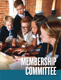# **MEMBER COMMITTEE 51MEMBERSHIP COMMITTEE** MEMBERSHIP COMMITTEE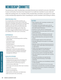## MEMBERSHIP COMMITTEE

You joined your club's membership committee because you wanted to see your club thrive in your community. You know how important it is to add new members to your club and retain the existing ones. As a member of the membership committee, your goal is to create a club membership experience that's rewarding for current members and inviting to others.

#### **RESPONSIBILITIES**

As a membership committee member, you work with everyone in your club to make their experience enjoyable and attractive to prospective members. Your main goal is to keep your club healthy and strong. You are the face and voice for membership activities in your club. Your committee will work diligently to invite new members, engage existing members and increase the visibility of the club in your community.

#### **EXPERIENCE**

- Building effective teams.
- Cultivating and maintaining positive working relationships.
- Developing others.
- Managing conflict.
- Solving problems.
- Implementing a club membership drive.
- Inviting or selling.
- Using email and social media platforms effectively, as well as calendar, spreadsheet, word-processing, presentation and project management software.

#### QUALIFICATIONS

- Passionate about Kiwanis.
- Understands the importance of inviting new members and retaining current members.
- Understands the membership programs.
- Communicates effectively.
- Encourages and motivates other team members.
- Organized.
- Focuses on innovation.
- Shows sound judgment.
- Stays positive, enthusiastic and diplomatic.
- Well-connected in the community.

#### DUTIES

- Meet regularly with committee members and prospective members.
- Set realistic and measurable goals with the committee members and in consultation with the club's board of directors.
- Develop an action plan for meeting goals.
- Get approval for the action plan from the club's board of directors.
- Ensure the member satisfaction survey and community survey are conducted annually.
- Plan membership drives and special member events.
- Provide regular reports to the club board.
- Persuade delinquent due payers to reengage in the club.
- Maintain contact with the lieutenant governor to report status, share ideas and ask questions or seek advice.
- Clearly communicate the importance of membership efforts to club members.
- Teach others how to invite people to the club.
- Communicate results of membership efforts.
- Plan and conduct (or assist with) new-member orientation.
- Ensure new members are reported and promptly inducted during a meaningful ceremony.
- Ensure new members are immediately involved in club activities.
- Serve on the committee for one to two years.
- Participate in membership committee education.
- Invest about five hours a month in inviting and retaining members.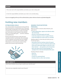#### **REVIEW**

1. Put a star next to the responsibilities and duties your club is doing well.

2. Circle the responsibilities and duties your club is not currently doing.

*If you are struggling with any of the outlined duties, please reference kiwanis.org/leadershipguide.*

### Inviting new members

#### ESTABLISHING GOALS

Your club president and club board, along with the lieutenant governor, will talk about your club goals. That includes membership. Your membership goals should be determined by the number of people your club wants to reach. Based on that desired impact, set achievable goals — and then celebrate accomplishments.

Kiwanis International honors clubs that have strengthened their membership. Take advantage of the recognition and awards that are available and use them to motivate club members. More information is in the resources section of this guide and at kiwanis.org/membership.



#### MAKING YOUR INVITATION **PERSONAL**

When you talk to someone about Kiwanis, your goals are to:

- Create relationships, rapport and referrals within the community.
- Discover community goals and needs.
- Invite the people you meet to support Kiwanis.
- Invite the people you meet to join as a member.

Building rapport is more than just what you say it's how you say it.

- Remember that the meeting is about the guest.
- Look the person in the eye and firmly shake hands.
- Show you're genuinely happy to meet him or her.
- Show interest ask questions and actively listen.
- Mirror the other person's body language. For example, if he or she leans forward, do the same.

Introduce Kiwanis (simply).

- Have fun.
- Tell stories.
- Connect on a personal level.
- Introduce them to other club members.

#### **THINK ABOUT IT**

How many members do you hope to add to your club this year?

How were you originally invited to join Kiwanis?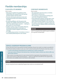## Flexible memberships

#### CLUB SATELLITE MEMBERS

How it works:

- Both groups establish the guidelines of the relationship, with someone from both groups serving as liaisons with the other.
- The host club's board authorizes service and fundraising activities and maintains financial oversight.
- By retaining affiliation with the parent club, members of a satellite remain focused on service rather than administrative concerns — making it a great option for busy lifestyles.
- Satellite members enjoy the benefits of Kiwanis, including elected positions, attendance at conventions, Kiwanis magazine and insurance coverage.
- If a satellite group reaches 15 members or more, it can consider petitioning for its own charter.

#### CORPORATE MEMBERSHIPS

How it works:

- The organization joins the club as a member, following the usual process.
- The company is represented at meetings and events by a designated employee.
- If the designated employee changes jobs, a new employee can be designated to take his or her place without being charged a new member fee.
- This option is also ideal for nonprofit entities that have an interest in helping children and bettering the community.

#### **REVIEW**

List 3-5 companies that might be good candidates for corporate memberships:

#### SERVICE LEADERSHIP PROGRAM ALUMNI

As Key Club and Circle K International members graduate, Kiwanis has made it as simple as possible for these Kiwanis-family members to join your club. As alumni joining their first Kiwanis club, they receive:

- A waiver of the Kiwanis International new-member fee or charter member fee.
- A two-year waiver of Kiwanis International dues. (Ask district leaders whether your district offers any alumni dues waivers.)

These waivers encourage alumni to stay involved with the organization they already know so well. They can be recent or well-seasoned alumni — there's no age limit to benefit from the opportunity. The waivers are available only to new Kiwanis club members.

#### **REVIEW**

Are you using the Service Leadership Program dues waiver as a recruitment tool?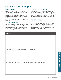## Other ways of reaching out

#### GUEST CONTESTS

A good competition can inspire great action. Some clubs have created teams and "competed" against each other. Others made it a contest for individual recognition. But the best results come from something that can be tracked and easily displayed. Reward members who invite people to club activities as well as those who sponsor new members.

#### SPECIAL GUEST DAYS

Identify an upcoming meeting or service project that reflects what's important to your club — and highlights the best of what you do. Intentionally make the effort to invite potential members to experience what Kiwanis is all about.

#### LEADS FROM "FIND A CLUB"

Did you know that the "Find a club" locator map on kiwanis.org garners about 5,000 queries every year from around the world? If you receive one of these queries by email, follow up right away. This person is looking for a group of people like your club to be a part of.

#### ROSTER ANALYSIS

When looking for new members, consider your current club roster. By completing a roster analysis, your committee can identify occupations and skill sets that aren't represented in your current roster and develop a prospect list. A worksheet is available at kiwanis.org/clubstrengthening.

#### **REVIEW**

How does your club typically get new members?

Brainstorm new ways you could add new members to your club.

What strategies and resources are available for inviting new members into your club?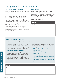## Engaging and retaining members

#### NEW MEMBER ORIENTATION

New members need to feel valued and appreciated from day one.

It's best to begin new member orientation before a prospective member joins so they understand the vision of the club and the responsibilities of membership — but it needs to be completed within two weeks after officially joining. Orientation is an opportunity to help new members understand your Kiwanis club. And it's a way for your club to learn about their interests and skills.

An orientation is available as a downloadable resource at kiwanis.org/newmemberorientation. Be sure to customize this resource so it reflects your club and traditions.

#### **MENTORING**

By pairing new members with mentors, you're giving them a go-to person for any questions and a familiar face to sit with at meetings until they feel comfortable interacting with everyone. Their mentors may be their sponsors or someone they just met. Mentors can help new members connect their interests with club activities.

#### **REVIEW**

Which members may be great mentors?

#### NEW-MEMBER INVOLVEMENT

Once a new member is ready, it's time to get that person involved.

- **Show them they're needed.** Assigning new members to committees can help engage their talents and interests. And by giving them a simple task connected to a meeting or project, they'll immediately feel like part of the team.
- **Expand their Kiwanis networking connections.** Consider taking a new member to visit a nearby club's meeting or participate in their service project. Invite them to attend a division council meeting so they can meet more Kiwanians in their area. Make them feel comfortable — so they are more likely to attend a district or international convention.
- **Ask for their feedback.** After new members are inducted, consider asking some of them to meet casually with board members. A new person's input can provide a different perspective:
	- What has the club done to make you feel welcomed?
	- What made you decide to join a Kiwanis club?
	- Was there anything that someone said or showed you that made you feel good about joining?
	- What are you most excited about doing with your club?

#### **REVIEW**

How do you engage your new members early on?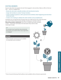#### EXISTING MEMBERS

Kiwanis clubs often lose people who don't feel engaged in club activities. Make an effort to find out why — and to re-engage them.

- Review the club roster to identify members who have become inactive.
- Assign club members to contact "missing" members.
- Contact members by phone or with a personal visit to tell them what's happening and invite them to the next event.
- Conduct a fun meeting to celebrate the club's members and accomplishments.

Sometimes you can feel the lack of energy when you walk into the room. If this describes your club, it's time to find out why. Start by surveying your members with the **Measuring member satisfaction\*** tool. This is a simple way to give members a voice — and to give club leaders the information they need to make meaningful change.

#### TIP

If a member hasn't paid their dues during the first quarter, you need to find a way to get them re-engaged.

#### **REVIEW**

What strategies and resources are available for retaining current members?



**\*** One of several Achieving Club Excellence tools available online at kiwanis.org/acetools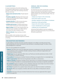#### CLUB MEETINGS

In most circumstances, the club meeting is the most frequent opportunity to connect with fellow members. So let's make club meetings awesome. Here are some tips:

- **Always start and end on time.** People depend on it.
- **Provide an agenda.** Meetings don't have to be routine, but knowing what to expect is helpful for the busy member.
- **Include some fun.** It's OK to be less formal as long as everyone is having a good time.
- **Include some service.** Consider performing a service project during your club meeting time.
- **Make it matter.** Ensure club meeting topics are relevant to your members and reflect well on the culture the club is trying to create.
- **Make it relevant.** Keep meetings memberfocused.

When possible, invite members of your club's sponsored Service Leadership Program(s) to attend a meeting.

#### ANNUAL AND OCCASIONAL **ASSESSMENTS**

An important part of the membership committee's role is to work with the club board to conduct regular assessments. Get input from club members, board members and community leaders. Then use that input to:

- Analyze your impact on the community.
- Find unmet needs in your area.
- Develop a signature service project or fundraiser.
- Expand your club's partnerships.
- Improve the club members' experience.
- Create a detailed plan to achieve goals.
- Celebrate your accomplishments.

Achieving Club Excellence tools are available to guide you through assessments. You can find them at kiwanis.org/acetools.

#### RECOGNITION AND REWARDS

A club's ability to motivate and retain members depends on its ability to provide personal value with membership. For some, the benefit of a job well done is rewarding enough. For others, a little acknowledgement is important.

Here are some guidelines for recognition:

- **Share it.**Tell others how much you appreciate someone's contributions to the club, and how glad you are that he or she is a member. Consider creating a Kiwanis certificate of appreciation and presenting it during a meeting.
- **Shake it up.** Vary your approach. Write notes, say "thank you," provide spontaneous treats, or hold a formal dinner or awards ceremony.
- **Personalize it.** Knowing your members' interests will help you recognize them in a meaningful way.
- **Make it appropriate.** Match the level of gratitude to the effort or achievement.
- **Make it a priority.** Designate a member of your club to focus on consistent and frequent recognition, and encourage all members to consistently identify what others have done to make the club better.
- **Be consistent.** Regular recognition, such as a Member of the Year award, helps ensure that members' big-picture contributions to the club's success are recognized too.
- **Be timely.**Recognition has a greater impact when given soon after the member's contribution.
- **Be sincere.** When you recognize a member, take time to truly reflect on that person's value to the club.
- **Spread it.** Find ways to let your members' family know how much you appreciate their support and encouragement.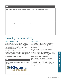#### **REVIEW**

How do you recognize your members? Do you reward them for their dedication to Kiwanis?

Brainstorm ways you could improve your club's recognition and rewards.

## Increasing the club's visibility

#### PUBLIC AWARENESS

Do the people in your community know about your club? Use the Public relations toolkit for club strengthening on kiwanis.org to let people know that your club is part of the community — and made up of people who live there.

Kiwanis communications resources include key messages, logos and images, news release templates and other media tools. Use them to spread the word about your club's service and fundraising. They're all available at kiwanis.org/brand.

#### **REVIEW**

Does your club have a custom logo similar to this example?



#### BRANDING

An organization creates brand awareness through consistent use of the images and language associated with it. The same is true for your club and Kiwanis.

Feel free to liven up a sign or a shirt with some creativity — but keep the logo and wordmark true to their original design to protect the brand's consistency. If possible, make sure your podium has a properly branded sign with your club's logo so anyone taking photos can capture it.

Nur podium has<br>
ub's logo so<br>
udly wear<br>
ervice<br>
nat sends a<br>
creates great<br>
ending that<br> **MEMBER COMMITTEE**<br>
59 And remember: When members proudly wear Kiwanis-branded shirts during club service projects and fundraising activities, that sends a strong message to the public — and creates great opportunities for photos that keep sending that message after the event.